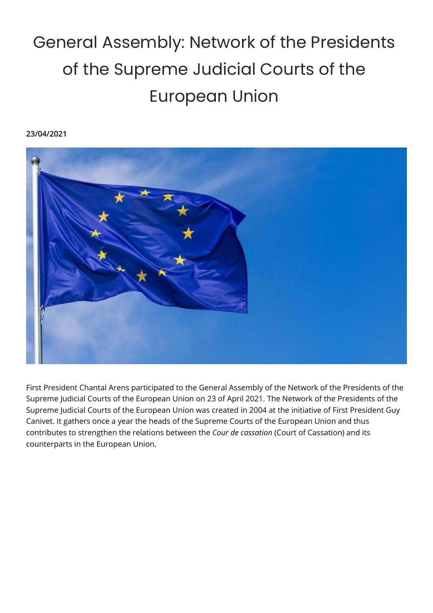## General Assembly: Network of the Presidents of the Supreme Judicial Courts of the European Union

## **23/04/2021**



First President Chantal Arens participated to the General Assembly of the Network of the Presidents of the Supreme Judicial Courts of the European Union on 23 of April 2021. The Network of the Presidents of the Supreme Judicial Courts of the European Union was created in 2004 at the initiative of First President Guy Canivet. It gathers once a year the heads of the Supreme Courts of the European Union and thus contributes to strengthen the relations between the *Cour de cassation* (Court of Cassation) and its counterparts in the European Union.